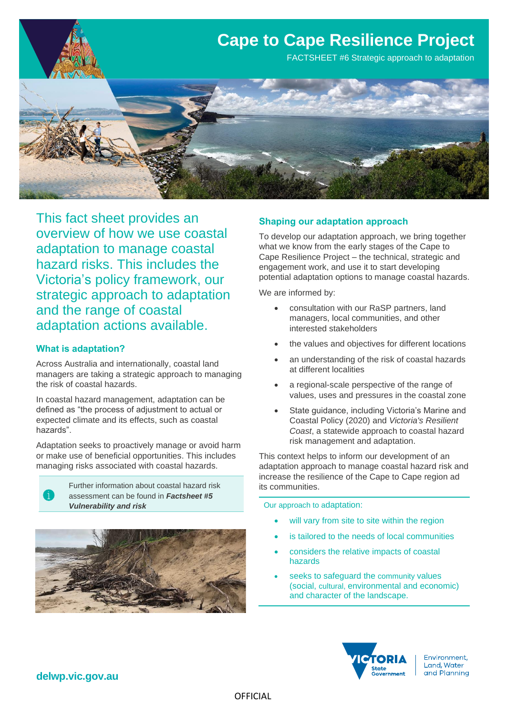

This fact sheet provides an overview of how we use coastal adaptation to manage coastal hazard risks. This includes the Victoria's policy framework, our strategic approach to adaptation and the range of coastal adaptation actions available.

### **What is adaptation?**

Across Australia and internationally, coastal land managers are taking a strategic approach to managing the risk of coastal hazards.

In coastal hazard management, adaptation can be defined as "the process of adjustment to actual or expected climate and its effects, such as coastal hazards".

Adaptation seeks to proactively manage or avoid harm or make use of beneficial opportunities. This includes managing risks associated with coastal hazards.

> Further information about coastal hazard risk assessment can be found in *Factsheet #5 Vulnerability and risk*



#### **Shaping our adaptation approach**

To develop our adaptation approach, we bring together what we know from the early stages of the Cape to Cape Resilience Project – the technical, strategic and engagement work, and use it to start developing potential adaptation options to manage coastal hazards.

We are informed by:

- consultation with our RaSP partners, land managers, local communities, and other interested stakeholders
- the values and objectives for different locations
- an understanding of the risk of coastal hazards at different localities
- a regional-scale perspective of the range of values, uses and pressures in the coastal zone
- State guidance, including Victoria's Marine and Coastal Policy (2020) and *Victoria's Resilient Coast*, a statewide approach to coastal hazard risk management and adaptation.

This context helps to inform our development of an adaptation approach to manage coastal hazard risk and increase the resilience of the Cape to Cape region ad its communities.

Our approach to adaptation:

- will vary from site to site within the region
- is tailored to the needs of local communities
- considers the relative impacts of coastal hazards
- seeks to safeguard the community values (social, cultural, environmental and economic) and character of the landscape.



Environment, Land, Water and Planning

## **delwp.vic.gov.au**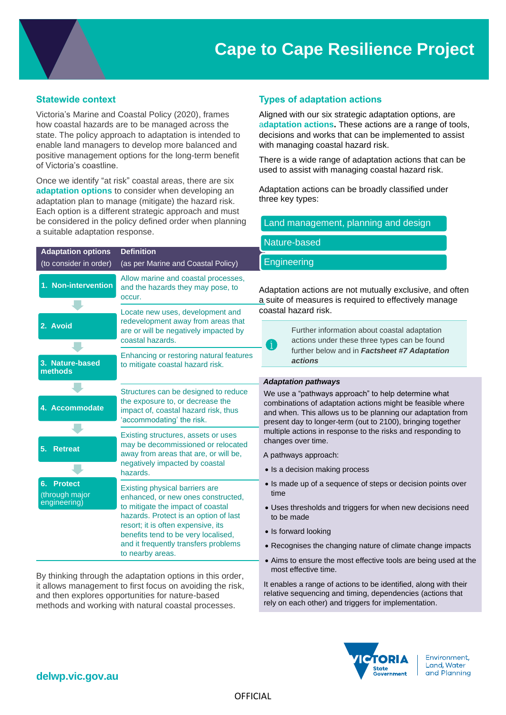# **Cape to Cape Resilience Project**

### **Statewide context**

Victoria's Marine and Coastal Policy (2020), frames how coastal hazards are to be managed across the state. The policy approach to adaptation is intended to enable land managers to develop more balanced and positive management options for the long-term benefit of Victoria's coastline.

Once we identify "at risk" coastal areas, there are six **adaptation options** to consider when developing an adaptation plan to manage (mitigate) the hazard risk. Each option is a different strategic approach and must be considered in the policy defined order when planning a suitable adaptation response.

| <b>Adaptation options</b>                              | <b>Definition</b>                                                                                                                                                                                                                                                                           |                                                                                                                                                                                                         |
|--------------------------------------------------------|---------------------------------------------------------------------------------------------------------------------------------------------------------------------------------------------------------------------------------------------------------------------------------------------|---------------------------------------------------------------------------------------------------------------------------------------------------------------------------------------------------------|
| (to consider in order)                                 | (as per Marine and Coastal Policy)                                                                                                                                                                                                                                                          | Engineering                                                                                                                                                                                             |
| 1. Non-intervention                                    | Allow marine and coastal processes,<br>and the hazards they may pose, to<br>occur.                                                                                                                                                                                                          | Adaptation actions are not mutually ex<br>a suite of measures is required to effe                                                                                                                       |
|                                                        | Locate new uses, development and<br>redevelopment away from areas that                                                                                                                                                                                                                      | coastal hazard risk.                                                                                                                                                                                    |
| 2. Avoid                                               | are or will be negatively impacted by<br>coastal hazards.                                                                                                                                                                                                                                   | Further information about coasta<br>actions under these three types<br>6                                                                                                                                |
| 3. Nature-based                                        | Enhancing or restoring natural features<br>to mitigate coastal hazard risk.                                                                                                                                                                                                                 | further below and in Factsheet:<br><i>actions</i>                                                                                                                                                       |
| methods                                                |                                                                                                                                                                                                                                                                                             |                                                                                                                                                                                                         |
| 4. Accommodate                                         | Structures can be designed to reduce<br>the exposure to, or decrease the<br>impact of, coastal hazard risk, thus<br>'accommodating' the risk.                                                                                                                                               | <b>Adaptation pathways</b><br>We use a "pathways approach" to help d<br>combinations of adaptation actions migh<br>and when. This allows us to be planning<br>present day to longer-term (out to 2100), |
| 5.<br><b>Retreat</b>                                   | Existing structures, assets or uses<br>may be decommissioned or relocated<br>away from areas that are, or will be,<br>negatively impacted by coastal<br>hazards.                                                                                                                            | multiple actions in response to the risks a<br>changes over time.<br>A pathways approach:<br>• Is a decision making process                                                                             |
| <b>Protect</b><br>6.<br>(through major<br>engineering) | Existing physical barriers are<br>enhanced, or new ones constructed,<br>to mitigate the impact of coastal<br>hazards. Protect is an option of last<br>resort; it is often expensive, its<br>benefits tend to be very localised,<br>and it frequently transfers problems<br>to nearby areas. | • Is made up of a sequence of steps or o<br>time<br>• Uses thresholds and triggers for when<br>to be made<br>• Is forward looking<br>• Recognises the changing nature of clir                           |
|                                                        |                                                                                                                                                                                                                                                                                             | • Aims to ensure the most effective tools                                                                                                                                                               |

By thinking through the adaptation options it allows management to first focus on avoiding the risk. and then explores opportunities for nature-based methods and working with natural coastal processes.

## **Types of adaptation actions**

Nature-based

Aligned with our six strategic adaptation options, are a**daptation actions.** These actions are a range of tools, decisions and works that can be implemented to assist with managing coastal hazard risk.

There is a wide range of adaptation actions that can be used to assist with managing coastal hazard risk.

Adaptation actions can be broadly classified under three key types:

Land management, planning and design

| astal Policy)                                                                                         | Engineering                                                                                                                                                                                                                                                                                                                          |  |  |
|-------------------------------------------------------------------------------------------------------|--------------------------------------------------------------------------------------------------------------------------------------------------------------------------------------------------------------------------------------------------------------------------------------------------------------------------------------|--|--|
| tal processes,<br>hay pose, to                                                                        | Adaptation actions are not mutually exclusive, and often<br>a suite of measures is required to effectively manage                                                                                                                                                                                                                    |  |  |
| lopment and<br>om areas that<br>y impacted by                                                         | coastal hazard risk.                                                                                                                                                                                                                                                                                                                 |  |  |
|                                                                                                       | Further information about coastal adaptation<br>actions under these three types can be found<br>Ô                                                                                                                                                                                                                                    |  |  |
| natural features<br>ard risk.                                                                         | further below and in Factsheet #7 Adaptation<br><i>actions</i>                                                                                                                                                                                                                                                                       |  |  |
|                                                                                                       |                                                                                                                                                                                                                                                                                                                                      |  |  |
|                                                                                                       | <b>Adaptation pathways</b>                                                                                                                                                                                                                                                                                                           |  |  |
| gned to reduce<br>rease the<br>rd risk, thus<br>sk.                                                   | We use a "pathways approach" to help determine what<br>combinations of adaptation actions might be feasible where<br>and when. This allows us to be planning our adaptation from<br>present day to longer-term (out to 2100), bringing together<br>multiple actions in response to the risks and responding to<br>changes over time. |  |  |
| sets or uses<br>ed or relocated<br>re, or will be,<br>coastal                                         |                                                                                                                                                                                                                                                                                                                                      |  |  |
|                                                                                                       | A pathways approach:                                                                                                                                                                                                                                                                                                                 |  |  |
|                                                                                                       | • Is a decision making process                                                                                                                                                                                                                                                                                                       |  |  |
| rs are<br>s constructed,<br>of coastal<br>option of last<br>sive, its<br>v localised,<br>ers problems | • Is made up of a sequence of steps or decision points over<br>time                                                                                                                                                                                                                                                                  |  |  |
|                                                                                                       | • Uses thresholds and triggers for when new decisions need<br>to be made                                                                                                                                                                                                                                                             |  |  |
|                                                                                                       | • Is forward looking                                                                                                                                                                                                                                                                                                                 |  |  |
|                                                                                                       | • Recognises the changing nature of climate change impacts                                                                                                                                                                                                                                                                           |  |  |
| in this order,<br>dina the risk.                                                                      | • Aims to ensure the most effective tools are being used at the<br>most effective time.                                                                                                                                                                                                                                              |  |  |
|                                                                                                       | It enables a range of actions to be identified, along with their                                                                                                                                                                                                                                                                     |  |  |



relative sequencing and timing, dependencies (actions that rely on each other) and triggers for implementation.

> Environment, Land, Water and Planning